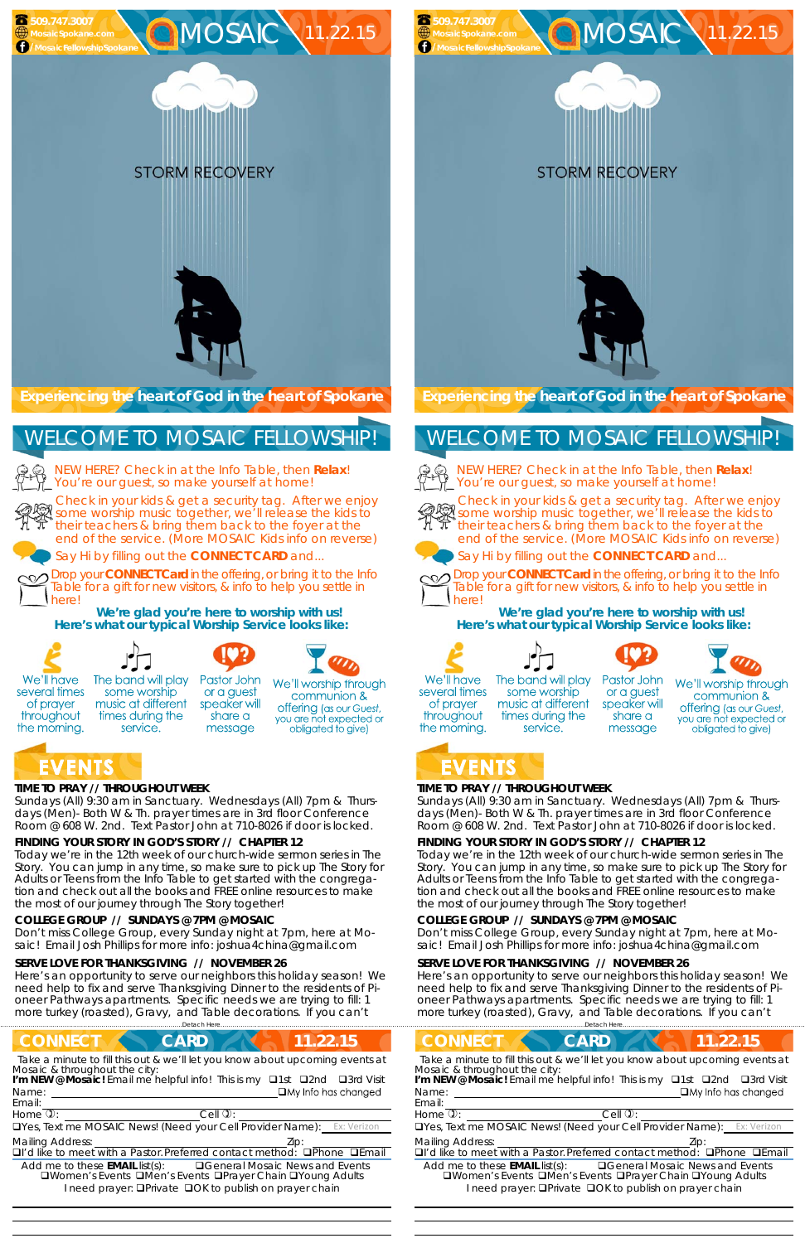#### **TIME TO PRAY // THROUGHOUT WEEK**

*Sundays* (All) 9:30 am in Sanctuary. *Wednesdays* (All) 7pm & *Thursdays* (Men)- Both W & Th. prayer times are in 3rd floor Conference Room @ 608 W. 2nd. Text Pastor John at 710-8026 if door is locked.

#### **FINDING YOUR STORY IN GOD'S STORY // CHAPTER 12**

service.

Today we're in the 12th week of our church-wide sermon series in The Story. You can jump in any time, so make sure to pick up The Story for Adults or Teens from the Info Table to get started with the congregation and check out all the books and FREE online resources to make the most of our journey through The Story together!

#### **COLLEGE GROUP // SUNDAYS @ 7PM @ MOSAIC**

Don't miss College Group, every Sunday night at 7pm, here at Mosaic! Email Josh Phillips for more info: joshua4china@gmail.com

#### **SERVE LOVE FOR THANKSGIVING // NOVEMBER 26**

Here's an opportunity to serve our neighbors this holiday season! We need help to fix and serve Thanksgiving Dinner to the residents of Pioneer Pathways apartments. Specific needs we are trying to fill: 1 more turkey (roasted), Gravy, and Table decorations. If you can't

**Experiencing the heart of God in the heart of Spokane** 

NEW HERE? Check in at the Info Table, then **Relax**! You're our guest, so make yourself at home!

Check in your kids & get a security tag. After we enjoy some worship music together, we'll release the kids to their teachers & bring them back to the foyer at the end of the service. (More MOSAIC Kids info on reverse)





**STORM RECOVERY** 

Say Hi by filling out the **CONNECT CARD** and...

Drop your **CONNECT Card** in the offering, or bring it to the Info Table for a gift for new visitors, & info to help you settle in here!

**We're glad you're here to worship with us! Here's what our typical Worship Service looks like:** 



several times

of prayer

throughout

the morning.

**NNECT CARD 11.22.15** ……………………….……………………………………………………….Detach Here……………………………………………..…………………………………

## WELCOME TO MOSAIC FELLOWSHIP!

 



message

Pastor John The band will play some worship or a guest music at different speaker will times during the share a

We'll worship through communion & **offering** (as our Guest, you are not expected or obligated to give)

## EVENTS

#### **TIME TO PRAY // THROUGHOUT WEEK**

*Sundays* (All) 9:30 am in Sanctuary. *Wednesdays* (All) 7pm & *Thursdays* (Men)- Both W & Th. prayer times are in 3rd floor Conference Room @ 608 W. 2nd. Text Pastor John at 710-8026 if door is locked.

#### **FINDING YOUR STORY IN GOD'S STORY // CHAPTER 12**

Today we're in the 12th week of our church-wide sermon series in The Story. You can jump in any time, so make sure to pick up The Story for Adults or Teens from the Info Table to get started with the congregation and check out all the books and FREE online resources to make the most of our journey through The Story together!

| <b>CONNECT</b>                                   | <b>CARD</b>                                                                                                                                          | 11.22.15                                 | <b>CONNECT</b>                                   | CARD                                                                                                                              | .22.15                                                                                                                                                  |  |
|--------------------------------------------------|------------------------------------------------------------------------------------------------------------------------------------------------------|------------------------------------------|--------------------------------------------------|-----------------------------------------------------------------------------------------------------------------------------------|---------------------------------------------------------------------------------------------------------------------------------------------------------|--|
| Mosaic & throughout the city:<br>Name:<br>Email: | Take a minute to fill this out & we'll let you know about upcoming events at<br>I'm NEW @ Mosaic! Email me helpful info! This is my <b>Q1st Q2nd</b> | □3rd Visit<br>$\Box$ My Info has changed | Mosaic & throughout the city:<br>Name:<br>Email: | I'm NEW @ Mosaic! Email me helpful info! This is my                                                                               | Take a minute to fill this out & we'll let you know about upcoming events at<br>□3rd Visit<br>$\Box$ 1st<br>$\square$ 2nd<br>$\Box$ My Info has changed |  |
| Home $\mathbb{Q}$ :                              | Cell $\mathbf{0}$ :                                                                                                                                  |                                          | Home $\mathbb{Q}$ :                              | $C$ ell $\mathbf{Q}$ :                                                                                                            |                                                                                                                                                         |  |
|                                                  | <b>OYes, Text me MOSAIC News! (Need your Cell Provider Name):</b> Ex: Verizon                                                                        |                                          |                                                  |                                                                                                                                   | <b>Latting MOSAIC News! (Need your Cell Provider Name):</b> Ex: Verizon                                                                                 |  |
| <b>Mailing Address:</b>                          | □I'd like to meet with a Pastor. Preferred contact method:                                                                                           | $D$ Phone $D$ Email                      | <b>Mailing Address:</b>                          | <b>QI'd like to meet with a Pastor. Preferred contact method:</b>                                                                 | <b>OPhone DEmail</b>                                                                                                                                    |  |
| Add me to these <b>EMAIL</b> list(s):            | □Women's Events □Men's Events □Prayer Chain □Young Adults<br>I need prayer: <b>QPrivate QOK to publish on prayer chain</b>                           | <b>QGeneral Mosaic News and Events</b>   | Add me to these <b>EMAIL</b> list(s):            | <b>QWomen's Events QMen's Events QPrayer Chain QYoung Adults</b><br>I need prayer: <b>QPrivate QOK to publish on prayer chain</b> | <b>QGeneral Mosaic News and Events</b>                                                                                                                  |  |

#### **COLLEGE GROUP // SUNDAYS @ 7PM @ MOSAIC**

Don't miss College Group, every Sunday night at 7pm, here at Mosaic! Email Josh Phillips for more info: joshua4china@gmail.com

#### **SERVE LOVE FOR THANKSGIVING // NOVEMBER 26**

Here's an opportunity to serve our neighbors this holiday season! We need help to fix and serve Thanksgiving Dinner to the residents of Pioneer Pathways apartments. Specific needs we are trying to fill: 1 more turkey (roasted), Gravy, and Table decorations. If you can't

NEW HERE? Check in at the Info Table, then **Relax**! You're our guest, so make yourself at home!



Check in your kids & get a security tag. After we enjoy some worship music together, we'll release the kids to their teachers & bring them back to the foyer at the end of the service. (More MOSAIC Kids info on reverse)





Say Hi by filling out the **CONNECT CARD** and...



Drop your **CONNECT Card** in the offering, or bring it to the Info Table for a gift for new visitors, & info to help you settle in here!

**We're glad you're here to worship with us! Here's what our typical Worship Service looks like:** 









We'll have several times of prayer throughout the morning.

## WELCOME TO MOSAIC FELLOWSHIP!



  The band will play some worship music at different times during the service.

Pastor John or a guest speaker will share a message



## EVENTS